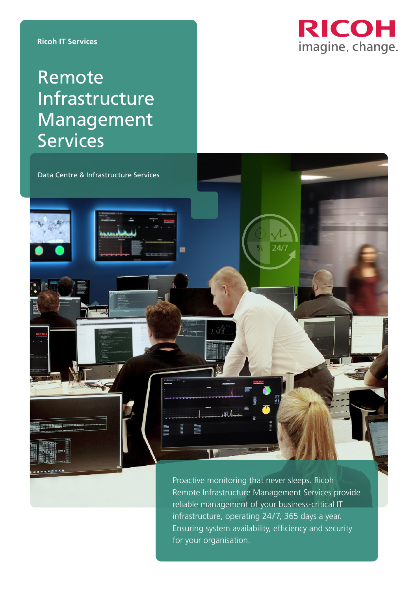**Ricoh IT Services**



# Remote **Infrastructure** Management **Services**

Data Centre & Infrastructure Services

m

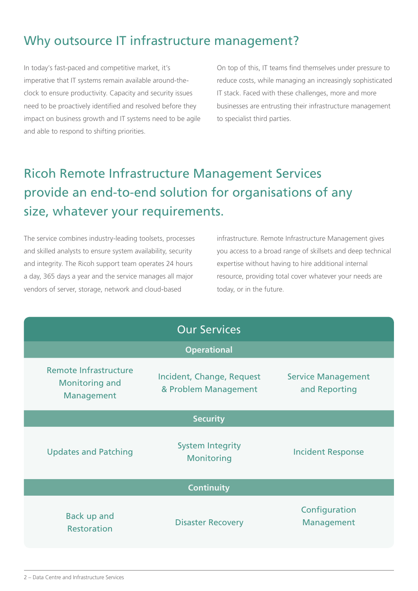### Why outsource IT infrastructure management?

In today's fast-paced and competitive market, it's imperative that IT systems remain available around-theclock to ensure productivity. Capacity and security issues need to be proactively identified and resolved before they impact on business growth and IT systems need to be agile and able to respond to shifting priorities.

On top of this, IT teams find themselves under pressure to reduce costs, while managing an increasingly sophisticated IT stack. Faced with these challenges, more and more businesses are entrusting their infrastructure management to specialist third parties.

## Ricoh Remote Infrastructure Management Services provide an end-to-end solution for organisations of any size, whatever your requirements.

The service combines industry-leading toolsets, processes and skilled analysts to ensure system availability, security and integrity. The Ricoh support team operates 24 hours a day, 365 days a year and the service manages all major vendors of server, storage, network and cloud-based

infrastructure. Remote Infrastructure Management gives you access to a broad range of skillsets and deep technical expertise without having to hire additional internal resource, providing total cover whatever your needs are today, or in the future.

| <b>Our Services</b>                                          |                                                   |                                            |
|--------------------------------------------------------------|---------------------------------------------------|--------------------------------------------|
| <b>Operational</b>                                           |                                                   |                                            |
| Remote Infrastructure<br><b>Monitoring and</b><br>Management | Incident, Change, Request<br>& Problem Management | <b>Service Management</b><br>and Reporting |
| <b>Security</b>                                              |                                                   |                                            |
| <b>Updates and Patching</b>                                  | <b>System Integrity</b><br>Monitoring             | <b>Incident Response</b>                   |
| <b>Continuity</b>                                            |                                                   |                                            |
| Back up and<br><b>Restoration</b>                            | <b>Disaster Recovery</b>                          | Configuration<br>Management                |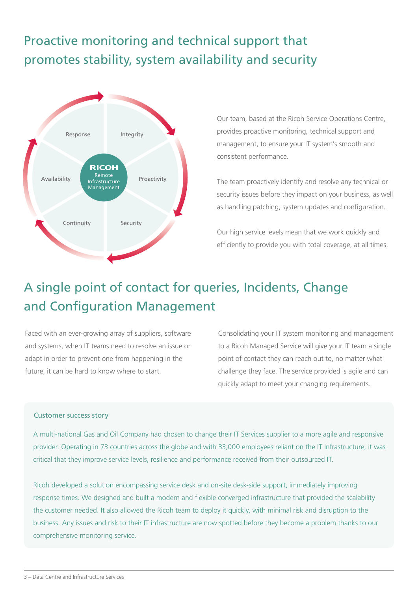## Proactive monitoring and technical support that promotes stability, system availability and security



Our team, based at the Ricoh Service Operations Centre, provides proactive monitoring, technical support and management, to ensure your IT system's smooth and consistent performance.

The team proactively identify and resolve any technical or security issues before they impact on your business, as well as handling patching, system updates and configuration.

Our high service levels mean that we work quickly and efficiently to provide you with total coverage, at all times.

## A single point of contact for queries, Incidents, Change and Configuration Management

Faced with an ever-growing array of suppliers, software and systems, when IT teams need to resolve an issue or adapt in order to prevent one from happening in the future, it can be hard to know where to start.

Consolidating your IT system monitoring and management to a Ricoh Managed Service will give your IT team a single point of contact they can reach out to, no matter what challenge they face. The service provided is agile and can quickly adapt to meet your changing requirements.

#### Customer success story

A multi-national Gas and Oil Company had chosen to change their IT Services supplier to a more agile and responsive provider. Operating in 73 countries across the globe and with 33,000 employees reliant on the IT infrastructure, it was critical that they improve service levels, resilience and performance received from their outsourced IT.

Ricoh developed a solution encompassing service desk and on-site desk-side support, immediately improving response times. We designed and built a modern and flexible converged infrastructure that provided the scalability the customer needed. It also allowed the Ricoh team to deploy it quickly, with minimal risk and disruption to the business. Any issues and risk to their IT infrastructure are now spotted before they become a problem thanks to our comprehensive monitoring service.